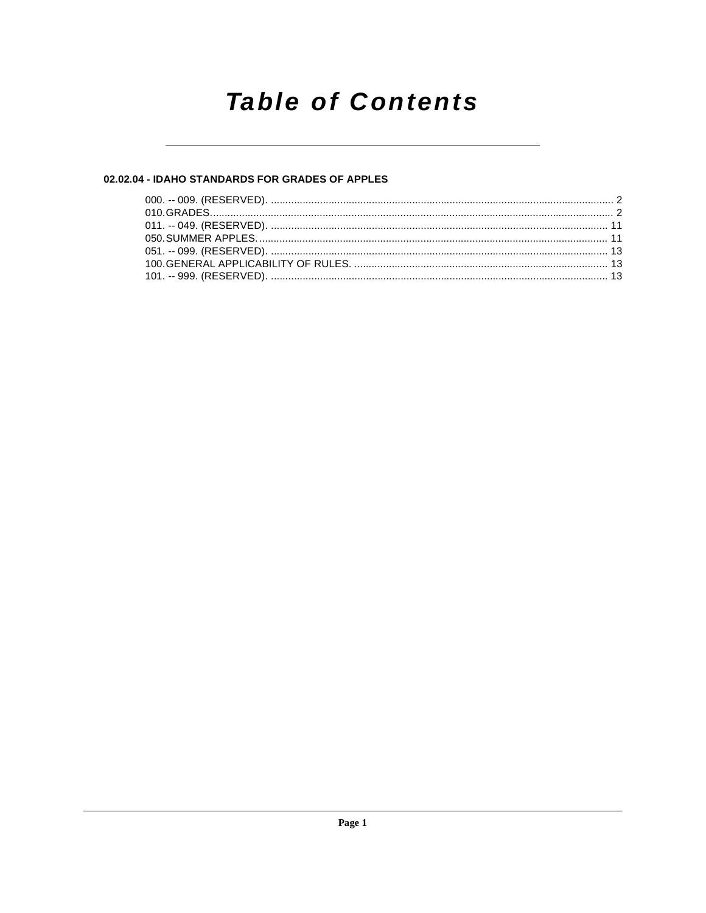# **Table of Contents**

#### 02.02.04 - IDAHO STANDARDS FOR GRADES OF APPLES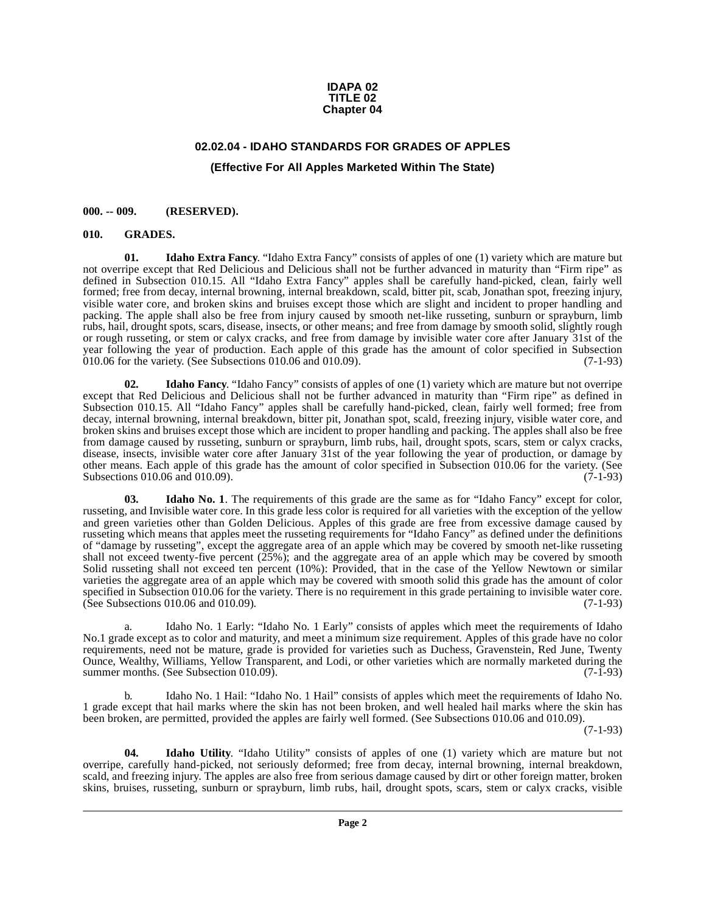#### **IDAPA 02 TITLE 02 Chapter 04**

### **02.02.04 - IDAHO STANDARDS FOR GRADES OF APPLES (Effective For All Apples Marketed Within The State)**

#### <span id="page-1-1"></span><span id="page-1-0"></span>**000. -- 009. (RESERVED).**

#### <span id="page-1-4"></span><span id="page-1-3"></span><span id="page-1-2"></span>**010. GRADES.**

**01. Idaho Extra Fancy**. "Idaho Extra Fancy" consists of apples of one (1) variety which are mature but not overripe except that Red Delicious and Delicious shall not be further advanced in maturity than "Firm ripe" as defined in Subsection 010.15. All "Idaho Extra Fancy" apples shall be carefully hand-picked, clean, fairly well formed; free from decay, internal browning, internal breakdown, scald, bitter pit, scab, Jonathan spot, freezing injury, visible water core, and broken skins and bruises except those which are slight and incident to proper handling and packing. The apple shall also be free from injury caused by smooth net-like russeting, sunburn or sprayburn, limb rubs, hail, drought spots, scars, disease, insects, or other means; and free from damage by smooth solid, slightly rough or rough russeting, or stem or calyx cracks, and free from damage by invisible water core after January 31st of the year following the year of production. Each apple of this grade has the amount of color specified in Subsection 010.06 for the variety. (See Subsections 010.06 and 010.09). (7-1-93)

<span id="page-1-5"></span>**02. Idaho Fancy**. "Idaho Fancy" consists of apples of one (1) variety which are mature but not overripe except that Red Delicious and Delicious shall not be further advanced in maturity than "Firm ripe" as defined in Subsection 010.15. All "Idaho Fancy" apples shall be carefully hand-picked, clean, fairly well formed; free from decay, internal browning, internal breakdown, bitter pit, Jonathan spot, scald, freezing injury, visible water core, and broken skins and bruises except those which are incident to proper handling and packing. The apples shall also be free from damage caused by russeting, sunburn or sprayburn, limb rubs, hail, drought spots, scars, stem or calyx cracks, disease, insects, invisible water core after January 31st of the year following the year of production, or damage by other means. Each apple of this grade has the amount of color specified in Subsection 010.06 for the variety. (See Subsections 010.06 and 010.09). (7-1-93)

<span id="page-1-6"></span>**03.** Idaho No. 1. The requirements of this grade are the same as for "Idaho Fancy" except for color, russeting, and Invisible water core. In this grade less color is required for all varieties with the exception of the yellow and green varieties other than Golden Delicious. Apples of this grade are free from excessive damage caused by russeting which means that apples meet the russeting requirements for "Idaho Fancy" as defined under the definitions of "damage by russeting", except the aggregate area of an apple which may be covered by smooth net-like russeting shall not exceed twenty-five percent  $(25%)$ ; and the aggregate area of an apple which may be covered by smooth Solid russeting shall not exceed ten percent (10%): Provided, that in the case of the Yellow Newtown or similar varieties the aggregate area of an apple which may be covered with smooth solid this grade has the amount of color specified in Subsection 010.06 for the variety. There is no requirement in this grade pertaining to invisible water core.<br>(See Subsections 010.06 and 010.09). (7-1-93)  $(See Subsections 010.06 and 010.09).$ 

a. Idaho No. 1 Early: "Idaho No. 1 Early" consists of apples which meet the requirements of Idaho No.1 grade except as to color and maturity, and meet a minimum size requirement. Apples of this grade have no color requirements, need not be mature, grade is provided for varieties such as Duchess, Gravenstein, Red June, Twenty Ounce, Wealthy, Williams, Yellow Transparent, and Lodi, or other varieties which are normally marketed during the summer months. (See Subsection  $010.09$ ). (7-1-93)

b. Idaho No. 1 Hail: "Idaho No. 1 Hail" consists of apples which meet the requirements of Idaho No. 1 grade except that hail marks where the skin has not been broken, and well healed hail marks where the skin has been broken, are permitted, provided the apples are fairly well formed. (See Subsections 010.06 and 010.09).

(7-1-93)

<span id="page-1-7"></span>**04. Idaho Utility**. "Idaho Utility" consists of apples of one (1) variety which are mature but not overripe, carefully hand-picked, not seriously deformed; free from decay, internal browning, internal breakdown, scald, and freezing injury. The apples are also free from serious damage caused by dirt or other foreign matter, broken skins, bruises, russeting, sunburn or sprayburn, limb rubs, hail, drought spots, scars, stem or calyx cracks, visible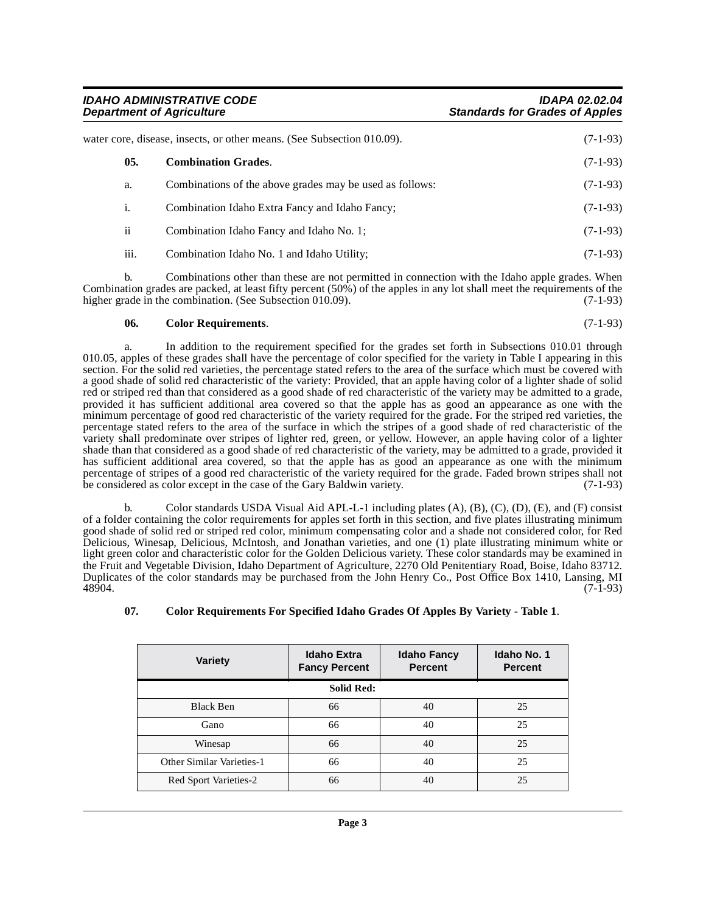**IDAHO ADMINISTRATIVE CODE IDAPA 02.02.04 Standards for Grades of Apples** 

<span id="page-2-2"></span>

| water core, disease, insects, or other means. (See Subsection 010.09). |                         | $(7-1-93)$                                               |            |
|------------------------------------------------------------------------|-------------------------|----------------------------------------------------------|------------|
|                                                                        | 0.5.                    | <b>Combination Grades.</b>                               | $(7-1-93)$ |
|                                                                        | a.                      | Combinations of the above grades may be used as follows: | $(7-1-93)$ |
|                                                                        | 1.                      | Combination Idaho Extra Fancy and Idaho Fancy;           | $(7-1-93)$ |
|                                                                        | $\overline{\mathbf{u}}$ | Combination Idaho Fancy and Idaho No. 1;                 | $(7-1-93)$ |
|                                                                        | iii.                    | Combination Idaho No. 1 and Idaho Utility;               | $(7-1-93)$ |
|                                                                        |                         |                                                          |            |

b. Combinations other than these are not permitted in connection with the Idaho apple grades. When Combination grades are packed, at least fifty percent (50%) of the apples in any lot shall meet the requirements of the higher grade in the combination. (See Subsection 010.09). (7-1-93)

#### <span id="page-2-0"></span>**06. Color Requirements**. (7-1-93)

a. In addition to the requirement specified for the grades set forth in Subsections 010.01 through 010.05, apples of these grades shall have the percentage of color specified for the variety in Table I appearing in this section. For the solid red varieties, the percentage stated refers to the area of the surface which must be covered with a good shade of solid red characteristic of the variety: Provided, that an apple having color of a lighter shade of solid red or striped red than that considered as a good shade of red characteristic of the variety may be admitted to a grade, provided it has sufficient additional area covered so that the apple has as good an appearance as one with the minimum percentage of good red characteristic of the variety required for the grade. For the striped red varieties, the percentage stated refers to the area of the surface in which the stripes of a good shade of red characteristic of the variety shall predominate over stripes of lighter red, green, or yellow. However, an apple having color of a lighter shade than that considered as a good shade of red characteristic of the variety, may be admitted to a grade, provided it has sufficient additional area covered, so that the apple has as good an appearance as one with the minimum percentage of stripes of a good red characteristic of the variety required for the grade. Faded brown stripes shall not be considered as color except in the case of the Gary Baldwin variety. (7-1-93) be considered as color except in the case of the Gary Baldwin variety.

Color standards USDA Visual Aid APL-L-1 including plates  $(A)$ ,  $(B)$ ,  $(C)$ ,  $(D)$ ,  $(E)$ , and  $(F)$  consist of a folder containing the color requirements for apples set forth in this section, and five plates illustrating minimum good shade of solid red or striped red color, minimum compensating color and a shade not considered color, for Red Delicious, Winesap, Delicious, McIntosh, and Jonathan varieties, and one (1) plate illustrating minimum white or light green color and characteristic color for the Golden Delicious variety. These color standards may be examined in the Fruit and Vegetable Division, Idaho Department of Agriculture, 2270 Old Penitentiary Road, Boise, Idaho 83712. Duplicates of the color standards may be purchased from the John Henry Co., Post Office Box 1410, Lansing, MI 48904. (7-1-93)

<span id="page-2-1"></span>**07. Color Requirements For Specified Idaho Grades Of Apples By Variety - Table 1**.

| <b>Variety</b>            | <b>Idaho Extra</b><br><b>Fancy Percent</b> | <b>Idaho Fancy</b><br><b>Percent</b> | <b>Idaho No. 1</b><br><b>Percent</b> |
|---------------------------|--------------------------------------------|--------------------------------------|--------------------------------------|
|                           | <b>Solid Red:</b>                          |                                      |                                      |
| Black Ben                 | 66                                         | 40                                   | 25                                   |
| Gano                      | 66                                         | 40                                   | 25                                   |
| Winesap                   | 66                                         | 40                                   | 25                                   |
| Other Similar Varieties-1 | 66                                         | 40                                   | 25                                   |
| Red Sport Varieties-2     | 66                                         | 40                                   | 25                                   |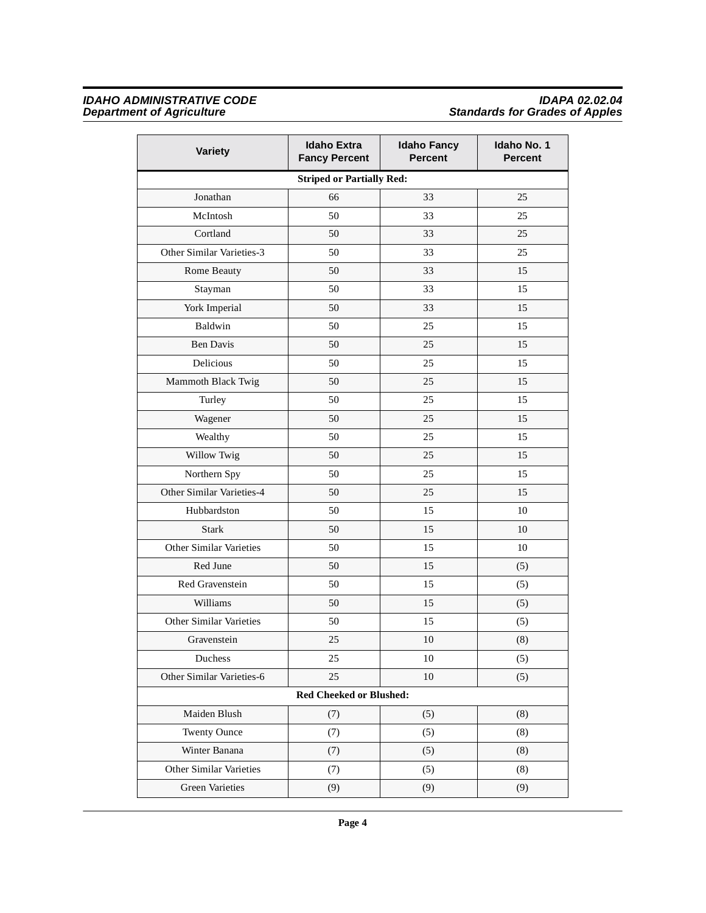#### **IDAHO ADMINISTRATIVE CODE IDAPA 02.02.04 Department of Agriculture Standards for Grades of Apples**

| Variety                          | <b>Idaho Extra</b><br><b>Fancy Percent</b> | <b>Idaho Fancy</b><br><b>Percent</b> | Idaho No. 1<br><b>Percent</b> |  |
|----------------------------------|--------------------------------------------|--------------------------------------|-------------------------------|--|
| <b>Striped or Partially Red:</b> |                                            |                                      |                               |  |
| Jonathan                         | 66                                         | 33                                   | 25                            |  |
| McIntosh                         | 50                                         | 33                                   | 25                            |  |
| Cortland                         | 50                                         | 33                                   | 25                            |  |
| Other Similar Varieties-3        | 50                                         | 33                                   | 25                            |  |
| Rome Beauty                      | 50                                         | 33                                   | 15                            |  |
| Stayman                          | 50                                         | 33                                   | 15                            |  |
| York Imperial                    | 50                                         | 33                                   | 15                            |  |
| Baldwin                          | 50                                         | 25                                   | 15                            |  |
| <b>Ben Davis</b>                 | 50                                         | 25                                   | 15                            |  |
| Delicious                        | 50                                         | 25                                   | 15                            |  |
| Mammoth Black Twig               | 50                                         | 25                                   | 15                            |  |
| Turley                           | 50                                         | 25                                   | 15                            |  |
| Wagener                          | 50                                         | 25                                   | 15                            |  |
| Wealthy                          | 50                                         | 25                                   | 15                            |  |
| Willow Twig                      | 50                                         | 25                                   | 15                            |  |
| Northern Spy                     | 50                                         | 25                                   | 15                            |  |
| Other Similar Varieties-4        | 50                                         | 25                                   | 15                            |  |
| Hubbardston                      | 50                                         | 15                                   | 10                            |  |
| <b>Stark</b>                     | 50                                         | 15                                   | 10                            |  |
| Other Similar Varieties          | 50                                         | 15                                   | 10                            |  |
| Red June                         | 50                                         | 15                                   | (5)                           |  |
| Red Gravenstein                  | 50                                         | 15                                   | (5)                           |  |
| Williams                         | 50                                         | 15                                   | (5)                           |  |
| Other Similar Varieties          | 50                                         | 15                                   | (5)                           |  |
| Gravenstein                      | 25                                         | 10                                   | (8)                           |  |
| Duchess                          | 25                                         | 10                                   | (5)                           |  |
| Other Similar Varieties-6        | 25                                         | $10\,$                               | (5)                           |  |
| <b>Red Cheeked or Blushed:</b>   |                                            |                                      |                               |  |
| Maiden Blush                     | (7)                                        | (5)                                  | (8)                           |  |
| <b>Twenty Ounce</b>              | (7)                                        | (5)                                  | (8)                           |  |
| Winter Banana                    | (7)                                        | (5)                                  | (8)                           |  |
| Other Similar Varieties          | (7)                                        | (5)                                  | (8)                           |  |
| <b>Green Varieties</b>           | (9)                                        | (9)                                  | (9)                           |  |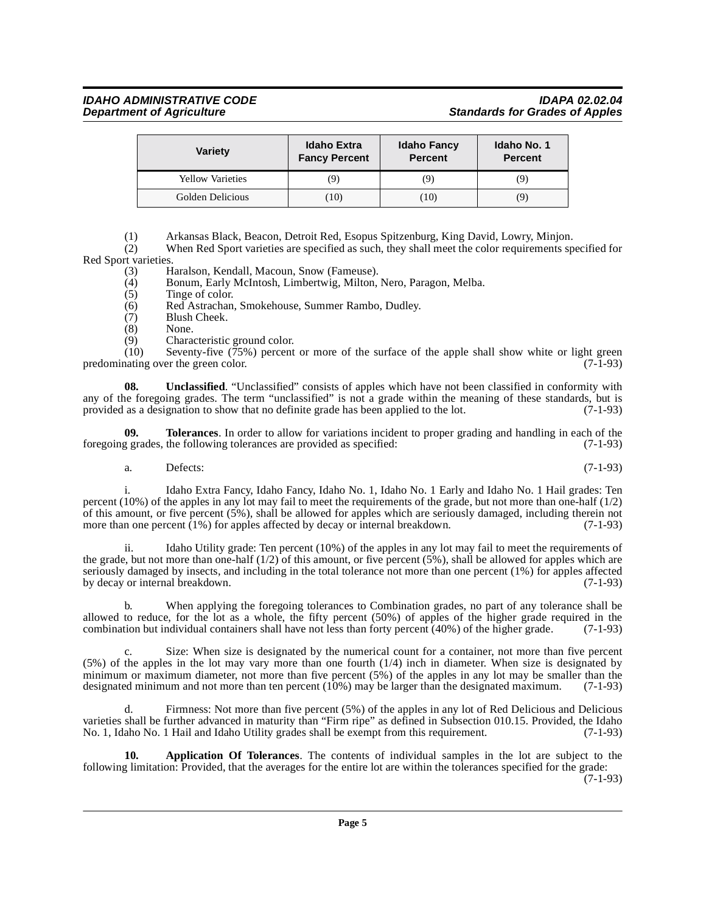## **IDAHO ADMINISTRATIVE CODE IDAPA 02.02.04**

| <b>Variety</b>          | <b>Idaho Extra</b><br><b>Fancy Percent</b> | <b>Idaho Fancy</b><br><b>Percent</b> | Idaho No. 1<br><b>Percent</b> |
|-------------------------|--------------------------------------------|--------------------------------------|-------------------------------|
| <b>Yellow Varieties</b> | 9.                                         | (9)                                  | (9)                           |
| Golden Delicious        | (10)                                       | (10)                                 | (9)                           |

(1) Arkansas Black, Beacon, Detroit Red, Esopus Spitzenburg, King David, Lowry, Minjon.

(2) When Red Sport varieties are specified as such, they shall meet the color requirements specified for Red Sport varieties.<br>(3) H

Haralson, Kendall, Macoun, Snow (Fameuse).

- (4) Bonum, Early McIntosh, Limbertwig, Milton, Nero, Paragon, Melba.<br>(5) Tinge of color.
- Tinge of color.
- (6) Red Astrachan, Smokehouse, Summer Rambo, Dudley.
- (7) Blush Cheek.<br>(8) None.
- 
- <span id="page-4-2"></span>(8) None.<br>(9) Charac Characteristic ground color.

(10) Seventy-five (75%) percent or more of the surface of the apple shall show white or light green predominating over the green color. (7-1-93)

**08. Unclassified**. "Unclassified" consists of apples which have not been classified in conformity with any of the foregoing grades. The term "unclassified" is not a grade within the meaning of these standards, but is provided as a designation to show that no definite grade has been applied to the lot. (7-1-93)

**09. Tolerances**. In order to allow for variations incident to proper grading and handling in each of the foregoing grades, the following tolerances are provided as specified: (7-1-93)

<span id="page-4-1"></span>a. Defects:  $(7-1-93)$ 

Idaho Extra Fancy, Idaho Fancy, Idaho No. 1, Idaho No. 1 Early and Idaho No. 1 Hail grades: Ten percent (10%) of the apples in any lot may fail to meet the requirements of the grade, but not more than one-half (1/2) of this amount, or five percent  $(5\%)$ , shall be allowed for apples which are seriously damaged, including therein not more than one percent (1%) for apples affected by decay or internal breakdown. (7-1-93)

ii. Idaho Utility grade: Ten percent (10%) of the apples in any lot may fail to meet the requirements of the grade, but not more than one-half  $(1/2)$  of this amount, or five percent  $(5%)$ , shall be allowed for apples which are seriously damaged by insects, and including in the total tolerance not more than one percent (1%) for apples affected<br>by decay or internal breakdown. (7-1-93) by decay or internal breakdown.

When applying the foregoing tolerances to Combination grades, no part of any tolerance shall be allowed to reduce, for the lot as a whole, the fifty percent (50%) of apples of the higher grade required in the combination but individual containers shall have not less than forty percent (40%) of the higher grade. (7-1-93)

c. Size: When size is designated by the numerical count for a container, not more than five percent (5%) of the apples in the lot may vary more than one fourth (1/4) inch in diameter. When size is designated by minimum or maximum diameter, not more than five percent (5%) of the apples in any lot may be smaller than the designated minimum and not more than ten percent (10%) may be larger than the designated maximum.  $(7-1-93)$ 

d. Firmness: Not more than five percent (5%) of the apples in any lot of Red Delicious and Delicious varieties shall be further advanced in maturity than "Firm ripe" as defined in Subsection 010.15. Provided, the Idaho No. 1, Idaho No. 1 Hail and Idaho Utility grades shall be exempt from this requirement. (7-1-93)

<span id="page-4-0"></span>**10. Application Of Tolerances**. The contents of individual samples in the lot are subject to the following limitation: Provided, that the averages for the entire lot are within the tolerances specified for the grade:

(7-1-93)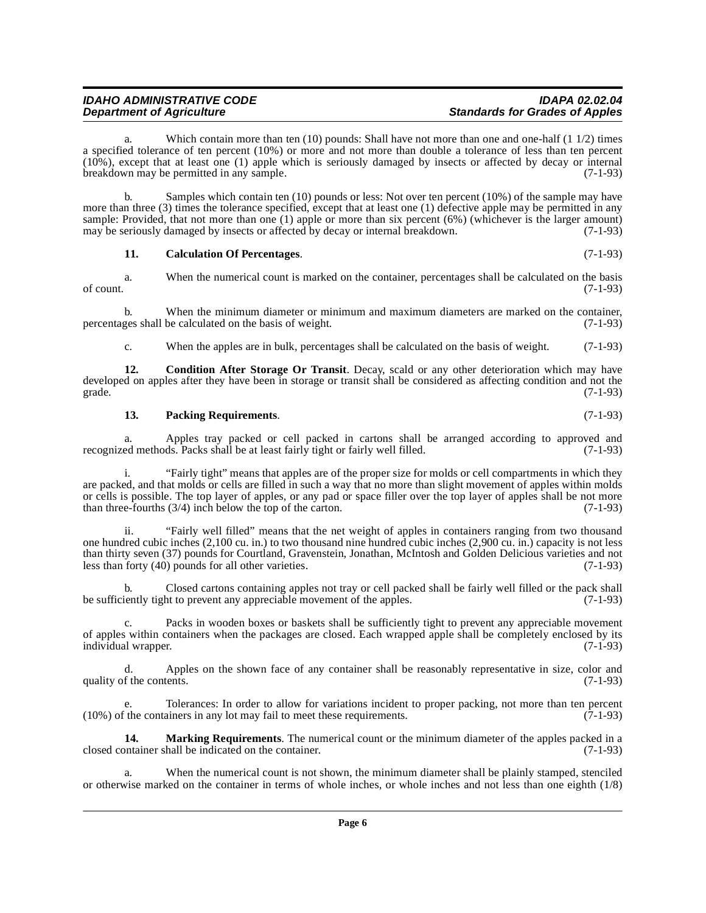#### IDAHO ADMINISTRATIVE CODE **IDAHO ADMINISTRATIVE CODE**<br>Department of Agriculture **intervalsion and Standards for Grades of Apples Standards for Grades of Apples**

Which contain more than ten  $(10)$  pounds: Shall have not more than one and one-half  $(1\ 1/2)$  times a specified tolerance of ten percent (10%) or more and not more than double a tolerance of less than ten percent (10%), except that at least one (1) apple which is seriously damaged by insects or affected by decay or internal breakdown may be permitted in any sample. (7-1-93)

b. Samples which contain ten (10) pounds or less: Not over ten percent (10%) of the sample may have more than three (3) times the tolerance specified, except that at least one (1) defective apple may be permitted in any sample: Provided, that not more than one (1) apple or more than six percent (6%) (whichever is the larger amount) may be seriously damaged by insects or affected by decay or internal breakdown. (7-1-93)

#### <span id="page-5-0"></span>**11. Calculation Of Percentages**. (7-1-93)

a. When the numerical count is marked on the container, percentages shall be calculated on the basis of count.  $(7-1-93)$ 

b. When the minimum diameter or minimum and maximum diameters are marked on the container, ges shall be calculated on the basis of weight. (7-1-93) percentages shall be calculated on the basis of weight.

<span id="page-5-1"></span>c. When the apples are in bulk, percentages shall be calculated on the basis of weight. (7-1-93)

**12. Condition After Storage Or Transit**. Decay, scald or any other deterioration which may have developed on apples after they have been in storage or transit shall be considered as affecting condition and not the grade. (7-1-93) grade.  $(7-1-93)$ 

#### <span id="page-5-3"></span>**13. Packing Requirements**. (7-1-93)

a. Apples tray packed or cell packed in cartons shall be arranged according to approved and ed methods. Packs shall be at least fairly tight or fairly well filled. (7-1-93) recognized methods. Packs shall be at least fairly tight or fairly well filled.

i. "Fairly tight" means that apples are of the proper size for molds or cell compartments in which they are packed, and that molds or cells are filled in such a way that no more than slight movement of apples within molds or cells is possible. The top layer of apples, or any pad or space filler over the top layer of apples shall be not more than three-fourths (3/4) inch below the top of the carton. (7-1-93)

ii. "Fairly well filled" means that the net weight of apples in containers ranging from two thousand one hundred cubic inches (2,100 cu. in.) to two thousand nine hundred cubic inches (2,900 cu. in.) capacity is not less than thirty seven (37) pounds for Courtland, Gravenstein, Jonathan, McIntosh and Golden Delicious varieties and not less than forty (40) pounds for all other varieties. (7-1-93)

b. Closed cartons containing apples not tray or cell packed shall be fairly well filled or the pack shall be sufficiently tight to prevent any appreciable movement of the apples. (7-1-93)

Packs in wooden boxes or baskets shall be sufficiently tight to prevent any appreciable movement of apples within containers when the packages are closed. Each wrapped apple shall be completely enclosed by its individual wrapper. (7-1-93) individual wrapper.

d. Apples on the shown face of any container shall be reasonably representative in size, color and quality of the contents.  $(7-1-93)$ 

e. Tolerances: In order to allow for variations incident to proper packing, not more than ten percent if the containers in any lot may fail to meet these requirements. (7-1-93)  $(10%)$  of the containers in any lot may fail to meet these requirements.

<span id="page-5-2"></span>**14. Marking Requirements**. The numerical count or the minimum diameter of the apples packed in a portainer shall be indicated on the container. closed container shall be indicated on the container.

a. When the numerical count is not shown, the minimum diameter shall be plainly stamped, stenciled or otherwise marked on the container in terms of whole inches, or whole inches and not less than one eighth (1/8)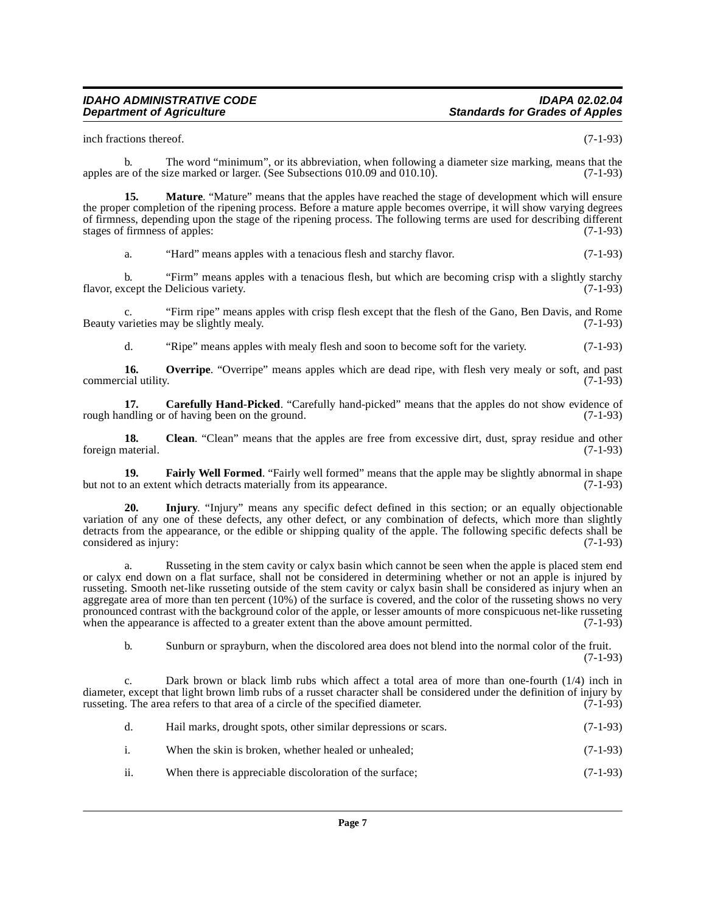inch fractions thereof. (7-1-93)

b. The word "minimum", or its abbreviation, when following a diameter size marking, means that the apples are of the size marked or larger. (See Subsections 010.09 and 010.10). (7-1-93)

**15. Mature**. "Mature" means that the apples have reached the stage of development which will ensure the proper completion of the ripening process. Before a mature apple becomes overripe, it will show varying degrees of firmness, depending upon the stage of the ripening process. The following terms are used for describing different stages of firmness of apples: (7-1-93) stages of firmness of apples:

<span id="page-6-4"></span>a. "Hard" means apples with a tenacious flesh and starchy flavor. (7-1-93)

b. "Firm" means apples with a tenacious flesh, but which are becoming crisp with a slightly starchy flavor, except the Delicious variety. (7-1-93)

c. "Firm ripe" means apples with crisp flesh except that the flesh of the Gano, Ben Davis, and Rome Beauty varieties may be slightly mealy.

<span id="page-6-5"></span><span id="page-6-0"></span>d. "Ripe" means apples with mealy flesh and soon to become soft for the variety. (7-1-93)

**16. Overripe**. "Overripe" means apples which are dead ripe, with flesh very mealy or soft, and past cial utility. (7-1-93) commercial utility.

**17. Carefully Hand-Picked**. "Carefully hand-picked" means that the apples do not show evidence of rough handling or of having been on the ground. (7-1-93)

<span id="page-6-1"></span>**18.** Clean. "Clean" means that the apples are free from excessive dirt, dust, spray residue and other naterial. (7-1-93) foreign material.

<span id="page-6-2"></span>**19. Fairly Well Formed**. "Fairly well formed" means that the apple may be slightly abnormal in shape on extent which detracts materially from its appearance. but not to an extent which detracts materially from its appearance.

<span id="page-6-3"></span>**20. Injury**. "Injury" means any specific defect defined in this section; or an equally objectionable variation of any one of these defects, any other defect, or any combination of defects, which more than slightly detracts from the appearance, or the edible or shipping quality of the apple. The following specific defects shall be considered as injury: (7-1-93)

a. Russeting in the stem cavity or calyx basin which cannot be seen when the apple is placed stem end or calyx end down on a flat surface, shall not be considered in determining whether or not an apple is injured by russeting. Smooth net-like russeting outside of the stem cavity or calyx basin shall be considered as injury when an aggregate area of more than ten percent (10%) of the surface is covered, and the color of the russeting shows no very pronounced contrast with the background color of the apple, or lesser amounts of more conspicuous net-like russeting when the appearance is affected to a greater extent than the above amount permitted. (7-1-93)

b. Sunburn or sprayburn, when the discolored area does not blend into the normal color of the fruit. (7-1-93)

Dark brown or black limb rubs which affect a total area of more than one-fourth  $(1/4)$  inch in diameter, except that light brown limb rubs of a russet character shall be considered under the definition of injury by russeting. The area refers to that area of a circle of the specified diameter. (7-1-93) russeting. The area refers to that area of a circle of the specified diameter.

| d. | Hail marks, drought spots, other similar depressions or scars.                                                | $(7-1-93)$ |
|----|---------------------------------------------------------------------------------------------------------------|------------|
|    | When the skin is broken, whether healed or unhealed:                                                          | $(7-1-93)$ |
|    | $\mathbf{v}$ , and the state $\mathbf{v}$ and $\mathbf{v}$ and $\mathbf{v}$ and $\mathbf{v}$ and $\mathbf{v}$ | (7.102)    |

ii. When there is appreciable discoloration of the surface;  $(7-1-93)$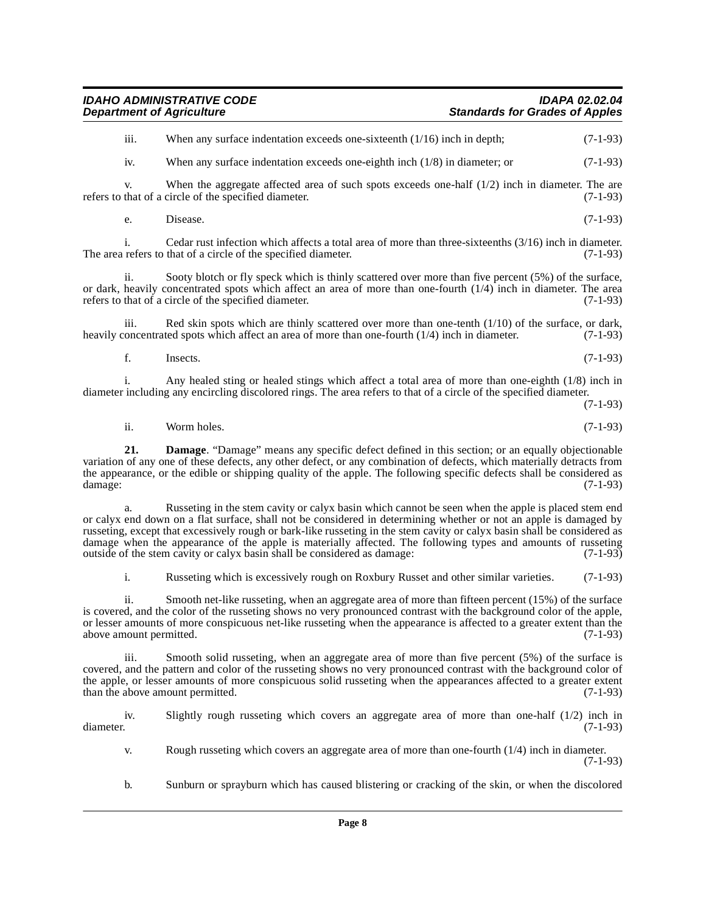| <b>IDAHO ADMINISTRATIVE CODE</b> | <b>IDAPA 02.02.04</b>                 |
|----------------------------------|---------------------------------------|
| <b>Department of Agriculture</b> | <b>Standards for Grades of Apples</b> |

| $\cdots$<br>111. | When any surface indentation exceeds one-sixteenth $(1/16)$ inch in depth;   | $(7-1-93)$ |
|------------------|------------------------------------------------------------------------------|------------|
| iv.              | When any surface indentation exceeds one-eighth inch $(1/8)$ in diameter; or | $(7-1-93)$ |

v. When the aggregate affected area of such spots exceeds one-half  $(1/2)$  inch in diameter. The are that of a circle of the specified diameter.  $(7-1-93)$ refers to that of a circle of the specified diameter.

e. Disease.  $(7-1-93)$ 

i. Cedar rust infection which affects a total area of more than three-sixteenths  $(3/16)$  inch in diameter. <br>refers to that of a circle of the specified diameter.  $(7-1-93)$ The area refers to that of a circle of the specified diameter.

ii. Sooty blotch or fly speck which is thinly scattered over more than five percent (5%) of the surface, or dark, heavily concentrated spots which affect an area of more than one-fourth  $(1/4)$  inch in diameter. The area refers to that of a circle of the specified diameter. (7-1-93)

iii. Red skin spots which are thinly scattered over more than one-tenth  $(1/10)$  of the surface, or dark, oncentrated spots which affect an area of more than one-fourth  $(1/4)$  inch in diameter.  $(7-1-93)$ heavily concentrated spots which affect an area of more than one-fourth  $(1/4)$  inch in diameter.

f. Insects.  $(7-1-93)$ 

i. Any healed sting or healed stings which affect a total area of more than one-eighth (1/8) inch in diameter including any encircling discolored rings. The area refers to that of a circle of the specified diameter.

(7-1-93)

<span id="page-7-0"></span>ii. Worm holes. (7-1-93)

**21. Damage**. "Damage" means any specific defect defined in this section; or an equally objectionable variation of any one of these defects, any other defect, or any combination of defects, which materially detracts from the appearance, or the edible or shipping quality of the apple. The following specific defects shall be considered as damage: (7-1-93) damage: (7-1-93)

a. Russeting in the stem cavity or calyx basin which cannot be seen when the apple is placed stem end or calyx end down on a flat surface, shall not be considered in determining whether or not an apple is damaged by russeting, except that excessively rough or bark-like russeting in the stem cavity or calyx basin shall be considered as damage when the appearance of the apple is materially affected. The following types and amounts of russeting outside of the stem cavity or calvx basin shall be considered as damage: (7-1-93) outside of the stem cavity or calyx basin shall be considered as damage:

i. Russeting which is excessively rough on Roxbury Russet and other similar varieties. (7-1-93)

ii. Smooth net-like russeting, when an aggregate area of more than fifteen percent (15%) of the surface is covered, and the color of the russeting shows no very pronounced contrast with the background color of the apple, or lesser amounts of more conspicuous net-like russeting when the appearance is affected to a greater extent than the above amount permitted. (7-1-93) above amount permitted.

iii. Smooth solid russeting, when an aggregate area of more than five percent (5%) of the surface is covered, and the pattern and color of the russeting shows no very pronounced contrast with the background color of the apple, or lesser amounts of more conspicuous solid russeting when the appearances affected to a greater extent than the above amount permitted. (7-1-93) than the above amount permitted.

iv. Slightly rough russeting which covers an aggregate area of more than one-half  $(1/2)$  inch in diameter. (7-1-93)

v. Rough russeting which covers an aggregate area of more than one-fourth (1/4) inch in diameter. (7-1-93)

b. Sunburn or sprayburn which has caused blistering or cracking of the skin, or when the discolored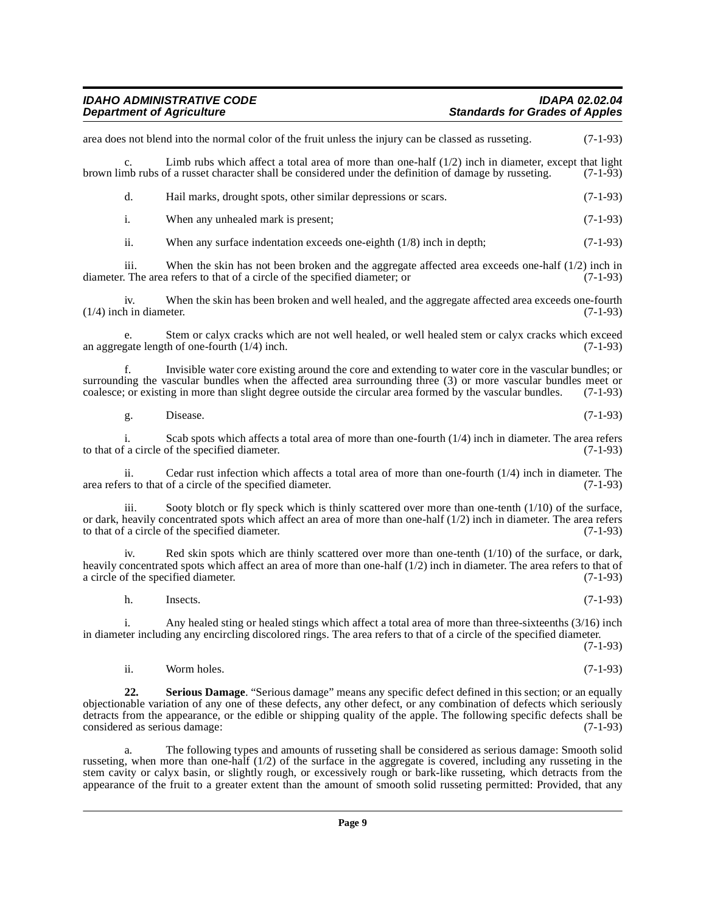#### IDAHO ADMINISTRATIVE CODE **IDAHO ADMINISTRATIVE CODE**<br>Department of Agriculture **intervalsion and Standards for Grades of Apples Standards for Grades of Apples**

area does not blend into the normal color of the fruit unless the injury can be classed as russeting. (7-1-93) c. Limb rubs which affect a total area of more than one-half  $(1/2)$  inch in diameter, except that light considered under the definition of damage by russeting. (7-1-93) brown limb rubs of a russet character shall be considered under the definition of damage by russeting. d. Hail marks, drought spots, other similar depressions or scars. (7-1-93) i. When any unhealed mark is present; (7-1-93) ii. When any surface indentation exceeds one-eighth  $(1/8)$  inch in depth;  $(7-1-93)$ iii. When the skin has not been broken and the aggregate affected area exceeds one-half  $(1/2)$  inch in<br>The area refers to that of a circle of the specified diameter: or  $(7-1-93)$ diameter. The area refers to that of a circle of the specified diameter; or iv. When the skin has been broken and well healed, and the aggregate affected area exceeds one-fourth  $(1/4)$  inch in diameter. e. Stem or calyx cracks which are not well healed, or well healed stem or calyx cracks which exceed an aggregate length of one-fourth  $(1/4)$  inch. (7-1-93) f. Invisible water core existing around the core and extending to water core in the vascular bundles; or surrounding the vascular bundles when the affected area surrounding three (3) or more vascular bundles meet or coalesce; or existing in more than slight degree outside the circular area formed by the vascular bundles. (7-1 coalesce; or existing in more than slight degree outside the circular area formed by the vascular bundles. g. Disease. (7-1-93) i. Scab spots which affects a total area of more than one-fourth  $(1/4)$  inch in diameter. The area refers f a circle of the specified diameter. (7-1-93) to that of a circle of the specified diameter. ii. Cedar rust infection which affects a total area of more than one-fourth  $(1/4)$  inch in diameter. The rs to that of a circle of the specified diameter. area refers to that of a circle of the specified diameter. Sooty blotch or fly speck which is thinly scattered over more than one-tenth  $(1/10)$  of the surface, or dark, heavily concentrated spots which affect an area of more than one-half  $(1/2)$  inch in diameter. The area refers to that of a circle of the specified diameter. (7-1-93) to that of a circle of the specified diameter. iv. Red skin spots which are thinly scattered over more than one-tenth (1/10) of the surface, or dark, heavily concentrated spots which affect an area of more than one-half (1/2) inch in diameter. The area refers to that of a circle of the specified diameter. (7-1-93) h. Insects.  $(7-1-93)$ i. Any healed sting or healed stings which affect a total area of more than three-sixteenths (3/16) inch in diameter including any encircling discolored rings. The area refers to that of a circle of the specified diameter. (7-1-93) ii. Worm holes. (7-1-93) **22. Serious Damage**. "Serious damage" means any specific defect defined in this section; or an equally objectionable variation of any one of these defects, any other defect, or any combination of defects which seriously detracts from the appearance, or the edible or shipping quality of the apple. The following specific defects shall be considered as serious damage: (7-1-93)

<span id="page-8-0"></span>a. The following types and amounts of russeting shall be considered as serious damage: Smooth solid russeting, when more than one-half  $(1/2)$  of the surface in the aggregate is covered, including any russeting in the stem cavity or calyx basin, or slightly rough, or excessively rough or bark-like russeting, which detracts from the appearance of the fruit to a greater extent than the amount of smooth solid russeting permitted: Provided, that any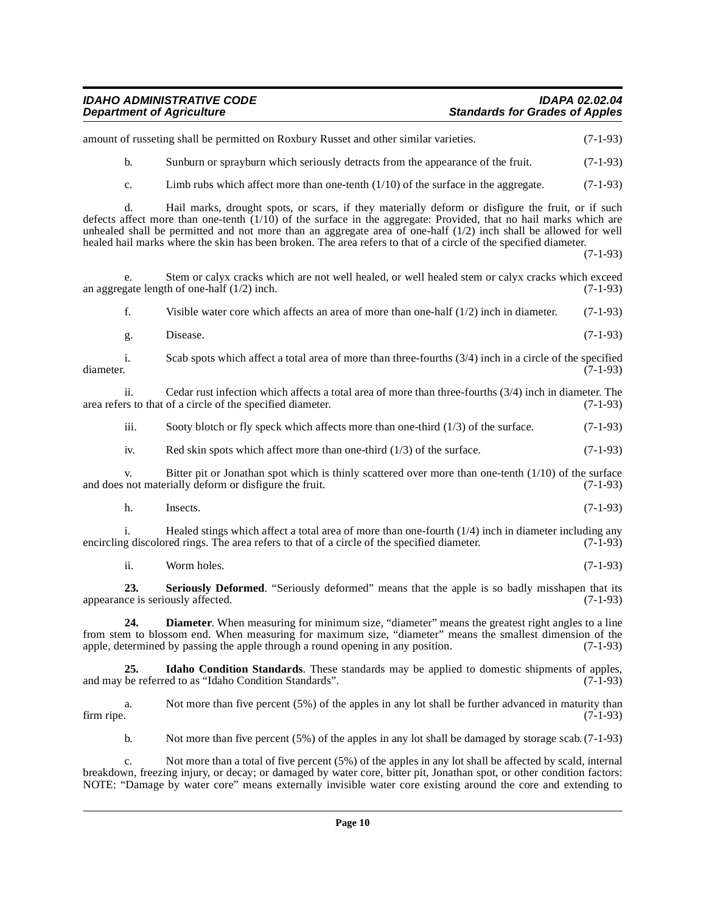#### **IDAHO ADMINISTRATIVE CODE IDAPA 02.02.04 Department of Agriculture Standards for Grades of Apples**

|                  | amount of russeting shall be permitted on Roxbury Russet and other similar varieties.                                                                                                                                                                                                                                                                                                                                                                              | $(7-1-93)$ |
|------------------|--------------------------------------------------------------------------------------------------------------------------------------------------------------------------------------------------------------------------------------------------------------------------------------------------------------------------------------------------------------------------------------------------------------------------------------------------------------------|------------|
| $\mathbf{b}$ .   | Sunburn or sprayburn which seriously detracts from the appearance of the fruit.                                                                                                                                                                                                                                                                                                                                                                                    | $(7-1-93)$ |
| c.               | Limb rubs which affect more than one-tenth $(1/10)$ of the surface in the aggregate.                                                                                                                                                                                                                                                                                                                                                                               | $(7-1-93)$ |
| d.               | Hail marks, drought spots, or scars, if they materially deform or disfigure the fruit, or if such<br>defects affect more than one-tenth $(1/10)$ of the surface in the aggregate: Provided, that no hail marks which are<br>unhealed shall be permitted and not more than an aggregate area of one-half $(1/2)$ inch shall be allowed for well<br>healed hail marks where the skin has been broken. The area refers to that of a circle of the specified diameter. | $(7-1-93)$ |
| e.               | Stem or calyx cracks which are not well healed, or well healed stem or calyx cracks which exceed<br>an aggregate length of one-half $(1/2)$ inch.                                                                                                                                                                                                                                                                                                                  | $(7-1-93)$ |
| f.               | Visible water core which affects an area of more than one-half $(1/2)$ inch in diameter.                                                                                                                                                                                                                                                                                                                                                                           | $(7-1-93)$ |
| g.               | Disease.                                                                                                                                                                                                                                                                                                                                                                                                                                                           | $(7-1-93)$ |
| i.<br>diameter.  | Scab spots which affect a total area of more than three-fourths $(3/4)$ inch in a circle of the specified                                                                                                                                                                                                                                                                                                                                                          | $(7-1-93)$ |
| ii.              | Cedar rust infection which affects a total area of more than three-fourths (3/4) inch in diameter. The<br>area refers to that of a circle of the specified diameter.                                                                                                                                                                                                                                                                                               | $(7-1-93)$ |
| iii.             | Sooty blotch or fly speck which affects more than one-third $(1/3)$ of the surface.                                                                                                                                                                                                                                                                                                                                                                                | $(7-1-93)$ |
| iv.              | Red skin spots which affect more than one-third $(1/3)$ of the surface.                                                                                                                                                                                                                                                                                                                                                                                            | $(7-1-93)$ |
| V.               | Bitter pit or Jonathan spot which is thinly scattered over more than one-tenth $(1/10)$ of the surface<br>and does not materially deform or disfigure the fruit.                                                                                                                                                                                                                                                                                                   | $(7-1-93)$ |
| h.               | Insects.                                                                                                                                                                                                                                                                                                                                                                                                                                                           | $(7-1-93)$ |
| i.               | Healed stings which affect a total area of more than one-fourth $(1/4)$ inch in diameter including any<br>encircling discolored rings. The area refers to that of a circle of the specified diameter.                                                                                                                                                                                                                                                              | $(7-1-93)$ |
| ii.              | Worm holes.                                                                                                                                                                                                                                                                                                                                                                                                                                                        | $(7-1-93)$ |
| 23.              | Seriously Deformed. "Seriously deformed" means that the apple is so badly misshapen that its<br>appearance is seriously affected.                                                                                                                                                                                                                                                                                                                                  | $(7-1-93)$ |
| 24.              | Diameter. When measuring for minimum size, "diameter" means the greatest right angles to a line<br>from stem to blossom end. When measuring for maximum size, "diameter" means the smallest dimension of the<br>apple, determined by passing the apple through a round opening in any position.                                                                                                                                                                    | $(7-1-93)$ |
| 25.              | Idaho Condition Standards. These standards may be applied to domestic shipments of apples,<br>and may be referred to as "Idaho Condition Standards".                                                                                                                                                                                                                                                                                                               | $(7-1-93)$ |
| a.<br>firm ripe. | Not more than five percent (5%) of the apples in any lot shall be further advanced in maturity than                                                                                                                                                                                                                                                                                                                                                                | $(7-1-93)$ |

<span id="page-9-2"></span><span id="page-9-1"></span><span id="page-9-0"></span>b. Not more than five percent (5%) of the apples in any lot shall be damaged by storage scab. (7-1-93)

c. Not more than a total of five percent (5%) of the apples in any lot shall be affected by scald, internal breakdown, freezing injury, or decay; or damaged by water core, bitter pit, Jonathan spot, or other condition factors: NOTE: "Damage by water core" means externally invisible water core existing around the core and extending to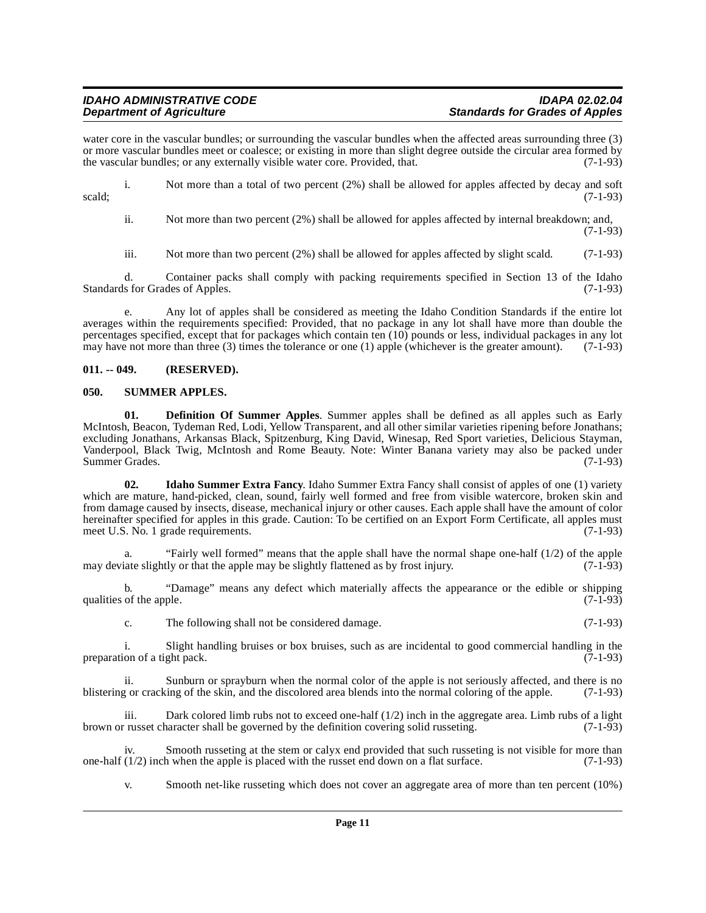### **IDAHO ADMINISTRATIVE CODE IDAPA 02.02.04**

water core in the vascular bundles; or surrounding the vascular bundles when the affected areas surrounding three (3) or more vascular bundles meet or coalesce; or existing in more than slight degree outside the circular area formed by the vascular bundles; or any externally visible water core. Provided, that. (7-1-93)

i. Not more than a total of two percent (2%) shall be allowed for apples affected by decay and soft scald;  $(7-1-93)$ 

ii. Not more than two percent (2%) shall be allowed for apples affected by internal breakdown; and,

(7-1-93)

iii. Not more than two percent (2%) shall be allowed for apples affected by slight scald. (7-1-93)

d. Container packs shall comply with packing requirements specified in Section 13 of the Idaho Standards for Grades of Apples. (7-1-93)

e. Any lot of apples shall be considered as meeting the Idaho Condition Standards if the entire lot averages within the requirements specified: Provided, that no package in any lot shall have more than double the percentages specified, except that for packages which contain ten (10) pounds or less, individual packages in any lot may have not more than three (3) times the tolerance or one (1) apple (whichever is the greater amount).  $(7-1-93)$ 

#### <span id="page-10-0"></span>**011. -- 049. (RESERVED).**

#### <span id="page-10-4"></span><span id="page-10-1"></span>**050. SUMMER APPLES.**

<span id="page-10-2"></span>**01. Definition Of Summer Apples**. Summer apples shall be defined as all apples such as Early McIntosh, Beacon, Tydeman Red, Lodi, Yellow Transparent, and all other similar varieties ripening before Jonathans; excluding Jonathans, Arkansas Black, Spitzenburg, King David, Winesap, Red Sport varieties, Delicious Stayman, Vanderpool, Black Twig, McIntosh and Rome Beauty. Note: Winter Banana variety may also be packed under Summer Grades. (7-1-93)

<span id="page-10-3"></span>**02. Idaho Summer Extra Fancy**. Idaho Summer Extra Fancy shall consist of apples of one (1) variety which are mature, hand-picked, clean, sound, fairly well formed and free from visible watercore, broken skin and from damage caused by insects, disease, mechanical injury or other causes. Each apple shall have the amount of color hereinafter specified for apples in this grade. Caution: To be certified on an Export Form Certificate, all apples must<br>meet U.S. No. 1 grade requirements. meet U.S. No. 1 grade requirements.

a. "Fairly well formed" means that the apple shall have the normal shape one-half (1/2) of the apple may deviate slightly or that the apple may be slightly flattened as by frost injury.  $(7-1-93)$ 

b. "Damage" means any defect which materially affects the appearance or the edible or shipping qualities of the apple.  $(7-1-93)$ 

c. The following shall not be considered damage. (7-1-93)

i. Slight handling bruises or box bruises, such as are incidental to good commercial handling in the ion of a tight pack.  $(7-1-93)$ preparation of a tight pack.

ii. Sunburn or sprayburn when the normal color of the apple is not seriously affected, and there is no blistering or cracking of the skin, and the discolored area blends into the normal coloring of the apple. (7-1-93)

iii. Dark colored limb rubs not to exceed one-half  $(1/2)$  inch in the aggregate area. Limb rubs of a light brown or russet character shall be governed by the definition covering solid russeting. (7-1-93)

iv. Smooth russeting at the stem or calyx end provided that such russeting is not visible for more than  $(1/2)$  inch when the apple is placed with the russet end down on a flat surface.  $(7-1-93)$ one-half  $(1/2)$  inch when the apple is placed with the russet end down on a flat surface.

v. Smooth net-like russeting which does not cover an aggregate area of more than ten percent (10%)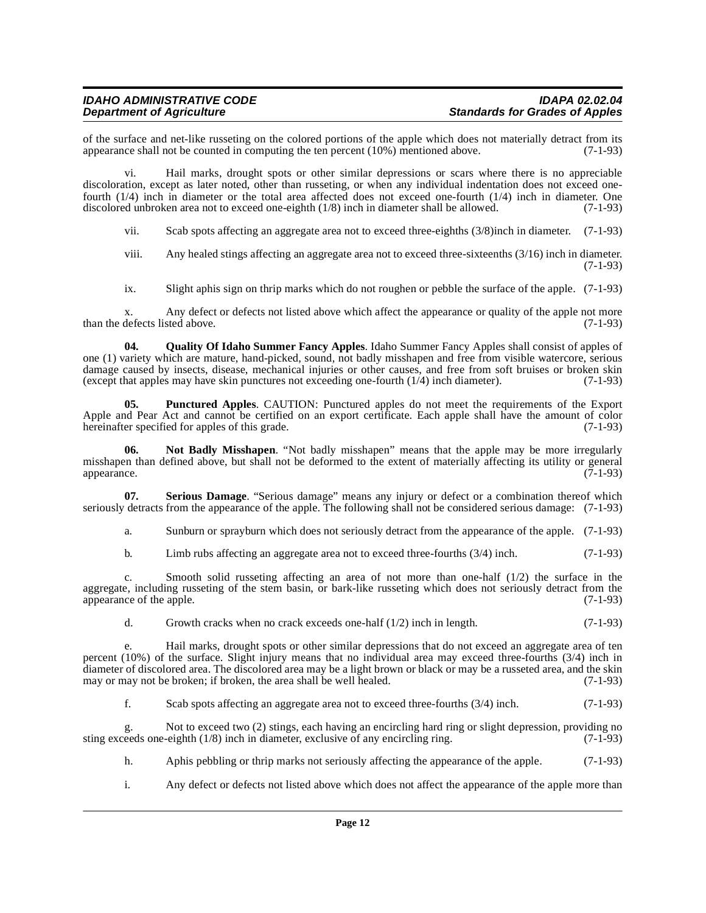### IDAHO ADMINISTRATIVE CODE **IDAHO ADMINISTRATIVE CODE**<br>Department of Agriculture **intervalsion and Standards for Grades of Apples**

of the surface and net-like russeting on the colored portions of the apple which does not materially detract from its appearance shall not be counted in computing the ten percent  $(10\%)$  mentioned above.  $(7-1-93)$ appearance shall not be counted in computing the ten percent  $(10\%)$  mentioned above.

vi. Hail marks, drought spots or other similar depressions or scars where there is no appreciable discoloration, except as later noted, other than russeting, or when any individual indentation does not exceed onefourth  $(1/4)$  inch in diameter or the total area affected does not exceed one-fourth  $(1/4)$  inch in diameter. One discolored unbroken area not to exceed one-eighth  $(1/8)$  inch in diameter shall be allowed.  $(7-1-93)$ discolored unbroken area not to exceed one-eighth  $(1/8)$  inch in diameter shall be allowed.

vii. Scab spots affecting an aggregate area not to exceed three-eighths (3/8)inch in diameter. (7-1-93)

viii. Any healed stings affecting an aggregate area not to exceed three-sixteenths (3/16) inch in diameter. (7-1-93)

<span id="page-11-2"></span>ix. Slight aphis sign on thrip marks which do not roughen or pebble the surface of the apple. (7-1-93)

x. Any defect or defects not listed above which affect the appearance or quality of the apple not more defects listed above. (7-1-93) than the defects listed above.

**04. Quality Of Idaho Summer Fancy Apples**. Idaho Summer Fancy Apples shall consist of apples of one (1) variety which are mature, hand-picked, sound, not badly misshapen and free from visible watercore, serious damage caused by insects, disease, mechanical injuries or other causes, and free from soft bruises or broken skin (except that apples may have skin punctures not exceeding one-fourth  $(1/4)$  inch diameter). (7-1-93) (except that apples may have skin punctures not exceeding one-fourth  $(1/4)$  inch diameter).

<span id="page-11-1"></span>**05. Punctured Apples**. CAUTION: Punctured apples do not meet the requirements of the Export Apple and Pear Act and cannot be certified on an export certificate. Each apple shall have the amount of color hereinafter specified for apples of this grade. (7-1-93) hereinafter specified for apples of this grade.

<span id="page-11-0"></span>**06. Not Badly Misshapen**. "Not badly misshapen" means that the apple may be more irregularly misshapen than defined above, but shall not be deformed to the extent of materially affecting its utility or general appearance. (7-1-93) appearance. (7-1-93)

**07. Serious Damage**. "Serious damage" means any injury or defect or a combination thereof which seriously detracts from the appearance of the apple. The following shall not be considered serious damage: (7-1-93)

<span id="page-11-3"></span>a. Sunburn or sprayburn which does not seriously detract from the appearance of the apple. (7-1-93)

b. Limb rubs affecting an aggregate area not to exceed three-fourths (3/4) inch. (7-1-93)

c. Smooth solid russeting affecting an area of not more than one-half (1/2) the surface in the aggregate, including russeting of the stem basin, or bark-like russeting which does not seriously detract from the appearance of the apple. (7-1-93)

d. Growth cracks when no crack exceeds one-half  $(1/2)$  inch in length.  $(7-1-93)$ 

e. Hail marks, drought spots or other similar depressions that do not exceed an aggregate area of ten percent (10%) of the surface. Slight injury means that no individual area may exceed three-fourths (3/4) inch in diameter of discolored area. The discolored area may be a light brown or black or may be a russeted area, and the skin may or may not be broken; if broken, the area shall be well healed. (7-1-93)

f. Scab spots affecting an aggregate area not to exceed three-fourths (3/4) inch. (7-1-93)

g. Not to exceed two (2) stings, each having an encircling hard ring or slight depression, providing no sting exceeds one-eighth  $(1/8)$  inch in diameter, exclusive of any encircling ring.  $(7-1-93)$ 

h. Aphis pebbling or thrip marks not seriously affecting the appearance of the apple. (7-1-93)

i. Any defect or defects not listed above which does not affect the appearance of the apple more than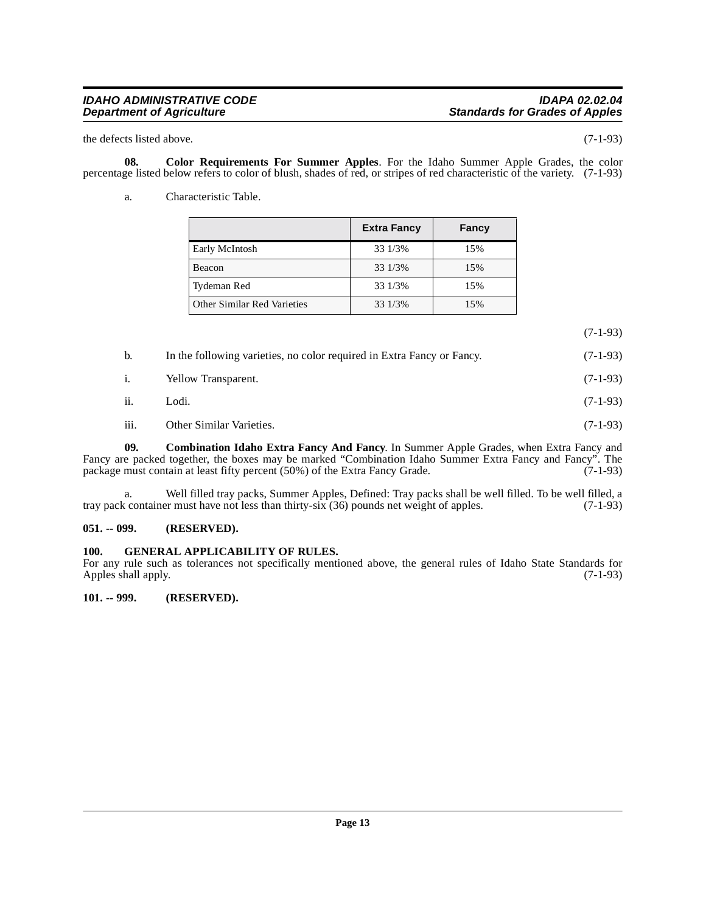### **IDAHO ADMINISTRATIVE CODE**<br>Department of Agriculture in the intervals of the standards for Grades of Apples

the defects listed above. (7-1-93)

**08. Color Requirements For Summer Apples**. For the Idaho Summer Apple Grades, the color percentage listed below refers to color of blush, shades of red, or stripes of red characteristic of the variety. (7-1-93)

<span id="page-12-4"></span>a. Characteristic Table.

<span id="page-12-3"></span>

|                             | <b>Extra Fancy</b> | Fancy |
|-----------------------------|--------------------|-------|
| Early McIntosh              | 33 1/3%            | 15%   |
| Beacon                      | 33 1/3%            | 15%   |
| Tydeman Red                 | 33 1/3%            | 15%   |
| Other Similar Red Varieties | 33 1/3%            | 15%   |

(7-1-93)

| b.   | In the following varieties, no color required in Extra Fancy or Fancy. | $(7-1-93)$ |
|------|------------------------------------------------------------------------|------------|
| i.   | Yellow Transparent.                                                    | $(7-1-93)$ |
| ii.  | Lodi.                                                                  | $(7-1-93)$ |
| iii. | Other Similar Varieties.                                               | $(7-1-93)$ |

<span id="page-12-5"></span>**09. Combination Idaho Extra Fancy And Fancy**. In Summer Apple Grades, when Extra Fancy and Fancy are packed together, the boxes may be marked "Combination Idaho Summer Extra Fancy and Fancy". The package must contain at least fifty percent (50%) of the Extra Fancy Grade. (7-1-93) package must contain at least fifty percent  $(50%)$  of the Extra Fancy Grade.

a. Well filled tray packs, Summer Apples, Defined: Tray packs shall be well filled. To be well filled, a container must have not less than thirty-six (36) pounds net weight of apples. (7-1-93) tray pack container must have not less than thirty-six (36) pounds net weight of apples.

#### <span id="page-12-0"></span>**051. -- 099. (RESERVED).**

#### <span id="page-12-6"></span><span id="page-12-1"></span>**100. GENERAL APPLICABILITY OF RULES.**

For any rule such as tolerances not specifically mentioned above, the general rules of Idaho State Standards for Apples shall apply. (7-1-93)

<span id="page-12-2"></span>**101. -- 999. (RESERVED).**